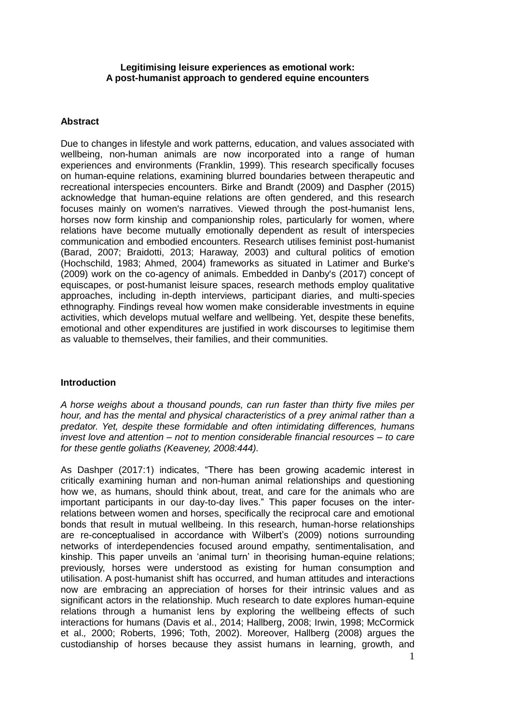# **Legitimising leisure experiences as emotional work: A post-humanist approach to gendered equine encounters**

# **Abstract**

Due to changes in lifestyle and work patterns, education, and values associated with wellbeing, non-human animals are now incorporated into a range of human experiences and environments (Franklin, 1999). This research specifically focuses on human-equine relations, examining blurred boundaries between therapeutic and recreational interspecies encounters. Birke and Brandt (2009) and Daspher (2015) acknowledge that human-equine relations are often gendered, and this research focuses mainly on women's narratives. Viewed through the post-humanist lens, horses now form kinship and companionship roles, particularly for women, where relations have become mutually emotionally dependent as result of interspecies communication and embodied encounters. Research utilises feminist post-humanist (Barad, 2007; Braidotti, 2013; Haraway, 2003) and cultural politics of emotion (Hochschild, 1983; Ahmed, 2004) frameworks as situated in Latimer and Burke's (2009) work on the co-agency of animals. Embedded in Danby's (2017) concept of equiscapes, or post-humanist leisure spaces, research methods employ qualitative approaches, including in-depth interviews, participant diaries, and multi-species ethnography. Findings reveal how women make considerable investments in equine activities, which develops mutual welfare and wellbeing. Yet, despite these benefits, emotional and other expenditures are justified in work discourses to legitimise them as valuable to themselves, their families, and their communities.

## **Introduction**

*A horse weighs about a thousand pounds, can run faster than thirty five miles per hour, and has the mental and physical characteristics of a prey animal rather than a predator. Yet, despite these formidable and often intimidating differences, humans invest love and attention – not to mention considerable financial resources – to care for these gentle goliaths (Keaveney, 2008:444).*

As Dashper (2017:1) indicates, "There has been growing academic interest in critically examining human and non-human animal relationships and questioning how we, as humans, should think about, treat, and care for the animals who are important participants in our day-to-day lives." This paper focuses on the interrelations between women and horses, specifically the reciprocal care and emotional bonds that result in mutual wellbeing. In this research, human-horse relationships are re-conceptualised in accordance with Wilbert's (2009) notions surrounding networks of interdependencies focused around empathy, sentimentalisation, and kinship. This paper unveils an 'animal turn' in theorising human-equine relations; previously, horses were understood as existing for human consumption and utilisation. A post-humanist shift has occurred, and human attitudes and interactions now are embracing an appreciation of horses for their intrinsic values and as significant actors in the relationship. Much research to date explores human-equine relations through a humanist lens by exploring the wellbeing effects of such interactions for humans (Davis et al., 2014; Hallberg, 2008; Irwin, 1998; McCormick et al.*,* 2000; Roberts, 1996; Toth, 2002). Moreover, Hallberg (2008) argues the custodianship of horses because they assist humans in learning, growth, and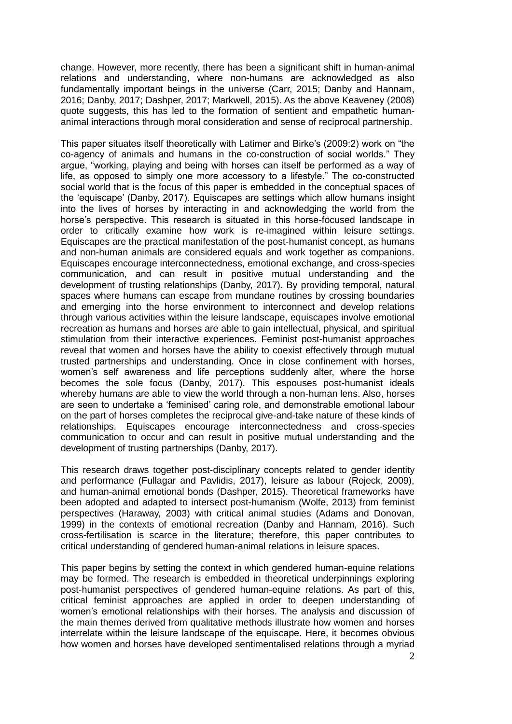change. However, more recently, there has been a significant shift in human-animal relations and understanding, where non-humans are acknowledged as also fundamentally important beings in the universe (Carr, 2015; Danby and Hannam, 2016; Danby, 2017; Dashper, 2017; Markwell, 2015). As the above Keaveney (2008) quote suggests, this has led to the formation of sentient and empathetic humananimal interactions through moral consideration and sense of reciprocal partnership.

This paper situates itself theoretically with Latimer and Birke's (2009:2) work on "the co-agency of animals and humans in the co-construction of social worlds." They argue, "working, playing and being with horses can itself be performed as a way of life, as opposed to simply one more accessory to a lifestyle." The co-constructed social world that is the focus of this paper is embedded in the conceptual spaces of the 'equiscape' (Danby, 2017). Equiscapes are settings which allow humans insight into the lives of horses by interacting in and acknowledging the world from the horse's perspective. This research is situated in this horse-focused landscape in order to critically examine how work is re-imagined within leisure settings. Equiscapes are the practical manifestation of the post-humanist concept, as humans and non-human animals are considered equals and work together as companions. Equiscapes encourage interconnectedness, emotional exchange, and cross-species communication, and can result in positive mutual understanding and the development of trusting relationships (Danby, 2017). By providing temporal, natural spaces where humans can escape from mundane routines by crossing boundaries and emerging into the horse environment to interconnect and develop relations through various activities within the leisure landscape, equiscapes involve emotional recreation as humans and horses are able to gain intellectual, physical, and spiritual stimulation from their interactive experiences. Feminist post-humanist approaches reveal that women and horses have the ability to coexist effectively through mutual trusted partnerships and understanding. Once in close confinement with horses, women's self awareness and life perceptions suddenly alter, where the horse becomes the sole focus (Danby, 2017). This espouses post-humanist ideals whereby humans are able to view the world through a non-human lens. Also, horses are seen to undertake a 'feminised' caring role, and demonstrable emotional labour on the part of horses completes the reciprocal give-and-take nature of these kinds of relationships. Equiscapes encourage interconnectedness and cross-species communication to occur and can result in positive mutual understanding and the development of trusting partnerships (Danby, 2017).

This research draws together post-disciplinary concepts related to gender identity and performance (Fullagar and Pavlidis, 2017), leisure as labour (Rojeck, 2009), and human-animal emotional bonds (Dashper, 2015). Theoretical frameworks have been adopted and adapted to intersect post-humanism (Wolfe, 2013) from feminist perspectives (Haraway, 2003) with critical animal studies (Adams and Donovan, 1999) in the contexts of emotional recreation (Danby and Hannam, 2016). Such cross-fertilisation is scarce in the literature; therefore, this paper contributes to critical understanding of gendered human-animal relations in leisure spaces.

This paper begins by setting the context in which gendered human-equine relations may be formed. The research is embedded in theoretical underpinnings exploring post-humanist perspectives of gendered human-equine relations. As part of this, critical feminist approaches are applied in order to deepen understanding of women's emotional relationships with their horses. The analysis and discussion of the main themes derived from qualitative methods illustrate how women and horses interrelate within the leisure landscape of the equiscape. Here, it becomes obvious how women and horses have developed sentimentalised relations through a myriad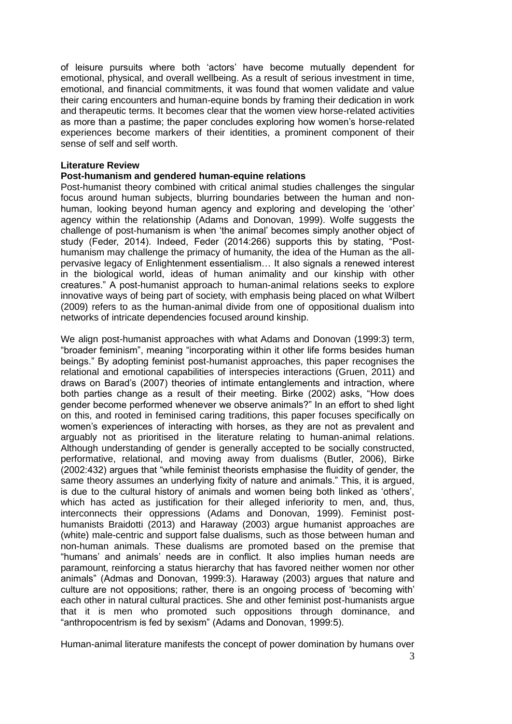of leisure pursuits where both 'actors' have become mutually dependent for emotional, physical, and overall wellbeing. As a result of serious investment in time, emotional, and financial commitments, it was found that women validate and value their caring encounters and human-equine bonds by framing their dedication in work and therapeutic terms. It becomes clear that the women view horse-related activities as more than a pastime; the paper concludes exploring how women's horse-related experiences become markers of their identities, a prominent component of their sense of self and self worth.

### **Literature Review**

### **Post-humanism and gendered human-equine relations**

Post-humanist theory combined with critical animal studies challenges the singular focus around human subjects, blurring boundaries between the human and nonhuman, looking beyond human agency and exploring and developing the 'other' agency within the relationship (Adams and Donovan, 1999). Wolfe suggests the challenge of post-humanism is when 'the animal' becomes simply another object of study (Feder, 2014). Indeed, Feder (2014:266) supports this by stating, "Posthumanism may challenge the primacy of humanity, the idea of the Human as the allpervasive legacy of Enlightenment essentialism… It also signals a renewed interest in the biological world, ideas of human animality and our kinship with other creatures." A post-humanist approach to human-animal relations seeks to explore innovative ways of being part of society, with emphasis being placed on what Wilbert (2009) refers to as the human-animal divide from one of oppositional dualism into networks of intricate dependencies focused around kinship.

We align post-humanist approaches with what Adams and Donovan (1999:3) term, "broader feminism", meaning "incorporating within it other life forms besides human beings." By adopting feminist post-humanist approaches, this paper recognises the relational and emotional capabilities of interspecies interactions (Gruen, 2011) and draws on Barad's (2007) theories of intimate entanglements and intraction, where both parties change as a result of their meeting. Birke (2002) asks, "How does gender become performed whenever we observe animals?" In an effort to shed light on this, and rooted in feminised caring traditions, this paper focuses specifically on women's experiences of interacting with horses, as they are not as prevalent and arguably not as prioritised in the literature relating to human-animal relations. Although understanding of gender is generally accepted to be socially constructed, performative, relational, and moving away from dualisms (Butler, 2006), Birke (2002:432) argues that "while feminist theorists emphasise the fluidity of gender, the same theory assumes an underlying fixity of nature and animals." This, it is argued, is due to the cultural history of animals and women being both linked as 'others', which has acted as justification for their alleged inferiority to men, and, thus, interconnects their oppressions (Adams and Donovan, 1999). Feminist posthumanists Braidotti (2013) and Haraway (2003) argue humanist approaches are (white) male-centric and support false dualisms, such as those between human and non-human animals. These dualisms are promoted based on the premise that "humans' and animals' needs are in conflict. It also implies human needs are paramount, reinforcing a status hierarchy that has favored neither women nor other animals" (Admas and Donovan, 1999:3). Haraway (2003) argues that nature and culture are not oppositions; rather, there is an ongoing process of 'becoming with' each other in natural cultural practices. She and other feminist post-humanists argue that it is men who promoted such oppositions through dominance, and "anthropocentrism is fed by sexism" (Adams and Donovan, 1999:5).

Human-animal literature manifests the concept of power domination by humans over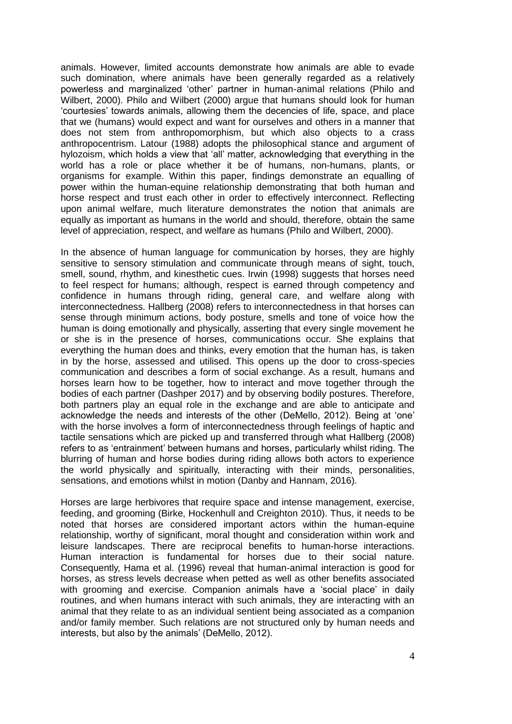animals. However, limited accounts demonstrate how animals are able to evade such domination, where animals have been generally regarded as a relatively powerless and marginalized 'other' partner in human-animal relations (Philo and Wilbert, 2000). Philo and Wilbert (2000) argue that humans should look for human 'courtesies' towards animals, allowing them the decencies of life, space, and place that we (humans) would expect and want for ourselves and others in a manner that does not stem from anthropomorphism, but which also objects to a crass anthropocentrism. Latour (1988) adopts the philosophical stance and argument of hylozoism, which holds a view that 'all' matter, acknowledging that everything in the world has a role or place whether it be of humans, non-humans, plants, or organisms for example. Within this paper, findings demonstrate an equalling of power within the human-equine relationship demonstrating that both human and horse respect and trust each other in order to effectively interconnect. Reflecting upon animal welfare, much literature demonstrates the notion that animals are equally as important as humans in the world and should, therefore, obtain the same level of appreciation, respect, and welfare as humans (Philo and Wilbert, 2000).

In the absence of human language for communication by horses, they are highly sensitive to sensory stimulation and communicate through means of sight, touch, smell, sound, rhythm, and kinesthetic cues. Irwin (1998) suggests that horses need to feel respect for humans; although, respect is earned through competency and confidence in humans through riding, general care, and welfare along with interconnectedness. Hallberg (2008) refers to interconnectedness in that horses can sense through minimum actions, body posture, smells and tone of voice how the human is doing emotionally and physically, asserting that every single movement he or she is in the presence of horses, communications occur. She explains that everything the human does and thinks, every emotion that the human has, is taken in by the horse, assessed and utilised. This opens up the door to cross-species communication and describes a form of social exchange. As a result, humans and horses learn how to be together, how to interact and move together through the bodies of each partner (Dashper 2017) and by observing bodily postures. Therefore, both partners play an equal role in the exchange and are able to anticipate and acknowledge the needs and interests of the other (DeMello, 2012). Being at 'one' with the horse involves a form of interconnectedness through feelings of haptic and tactile sensations which are picked up and transferred through what Hallberg (2008) refers to as 'entrainment' between humans and horses, particularly whilst riding. The blurring of human and horse bodies during riding allows both actors to experience the world physically and spiritually, interacting with their minds, personalities, sensations, and emotions whilst in motion (Danby and Hannam, 2016).

Horses are large herbivores that require space and intense management, exercise, feeding, and grooming (Birke, Hockenhull and Creighton 2010). Thus, it needs to be noted that horses are considered important actors within the human-equine relationship, worthy of significant, moral thought and consideration within work and leisure landscapes. There are reciprocal benefits to human-horse interactions. Human interaction is fundamental for horses due to their social nature. Consequently, Hama et al. (1996) reveal that human-animal interaction is good for horses, as stress levels decrease when petted as well as other benefits associated with grooming and exercise. Companion animals have a 'social place' in daily routines, and when humans interact with such animals, they are interacting with an animal that they relate to as an individual sentient being associated as a companion and/or family member. Such relations are not structured only by human needs and interests, but also by the animals' (DeMello, 2012).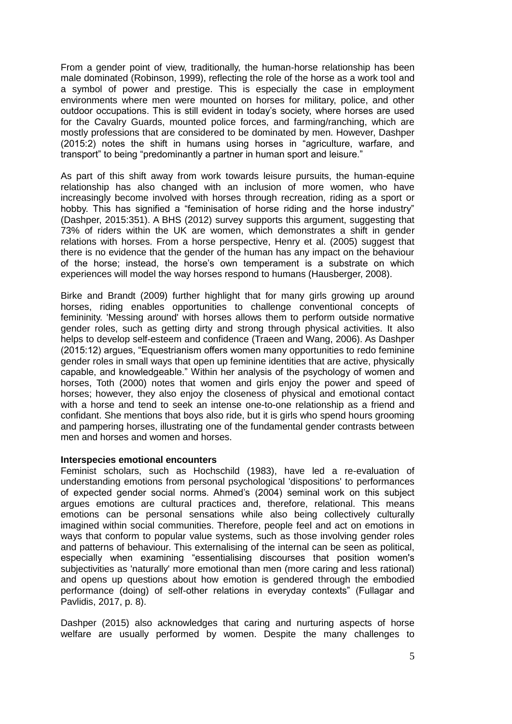From a gender point of view, traditionally, the human-horse relationship has been male dominated (Robinson, 1999), reflecting the role of the horse as a work tool and a symbol of power and prestige. This is especially the case in employment environments where men were mounted on horses for military, police, and other outdoor occupations. This is still evident in today's society, where horses are used for the Cavalry Guards, mounted police forces, and farming/ranching, which are mostly professions that are considered to be dominated by men. However, Dashper (2015:2) notes the shift in humans using horses in "agriculture, warfare, and transport" to being "predominantly a partner in human sport and leisure."

As part of this shift away from work towards leisure pursuits, the human-equine relationship has also changed with an inclusion of more women, who have increasingly become involved with horses through recreation, riding as a sport or hobby. This has signified a "feminisation of horse riding and the horse industry" (Dashper, 2015:351). A BHS (2012) survey supports this argument, suggesting that 73% of riders within the UK are women, which demonstrates a shift in gender relations with horses. From a horse perspective, Henry et al. (2005) suggest that there is no evidence that the gender of the human has any impact on the behaviour of the horse; instead, the horse's own temperament is a substrate on which experiences will model the way horses respond to humans (Hausberger, 2008).

Birke and Brandt (2009) further highlight that for many girls growing up around horses, riding enables opportunities to challenge conventional concepts of femininity. 'Messing around' with horses allows them to perform outside normative gender roles, such as getting dirty and strong through physical activities. It also helps to develop self-esteem and confidence (Traeen and Wang, 2006). As Dashper (2015:12) argues, "Equestrianism offers women many opportunities to redo feminine gender roles in small ways that open up feminine identities that are active, physically capable, and knowledgeable." Within her analysis of the psychology of women and horses, Toth (2000) notes that women and girls enjoy the power and speed of horses; however, they also enjoy the closeness of physical and emotional contact with a horse and tend to seek an intense one-to-one relationship as a friend and confidant. She mentions that boys also ride, but it is girls who spend hours grooming and pampering horses, illustrating one of the fundamental gender contrasts between men and horses and women and horses.

#### **Interspecies emotional encounters**

Feminist scholars, such as Hochschild (1983), have led a re-evaluation of understanding emotions from personal psychological 'dispositions' to performances of expected gender social norms. Ahmed's (2004) seminal work on this subject argues emotions are cultural practices and, therefore, relational. This means emotions can be personal sensations while also being collectively culturally imagined within social communities. Therefore, people feel and act on emotions in ways that conform to popular value systems, such as those involving gender roles and patterns of behaviour. This externalising of the internal can be seen as political, especially when examining "essentialising discourses that position women's subjectivities as 'naturally' more emotional than men (more caring and less rational) and opens up questions about how emotion is gendered through the embodied performance (doing) of self-other relations in everyday contexts" (Fullagar and Pavlidis, 2017, p. 8).

Dashper (2015) also acknowledges that caring and nurturing aspects of horse welfare are usually performed by women. Despite the many challenges to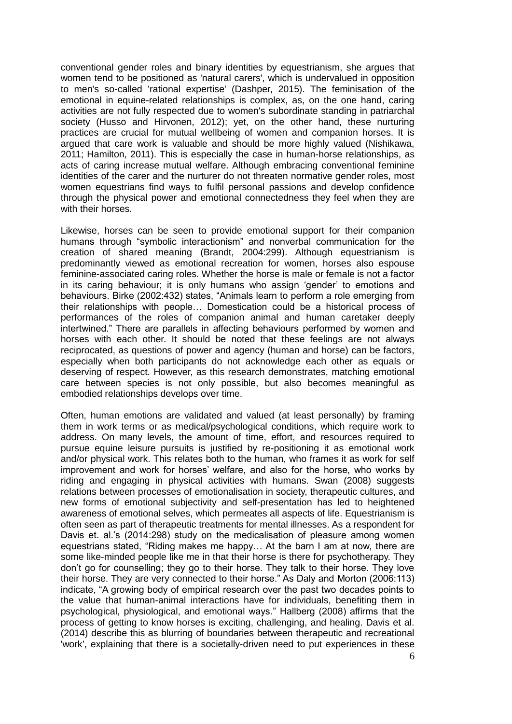conventional gender roles and binary identities by equestrianism, she argues that women tend to be positioned as 'natural carers', which is undervalued in opposition to men's so-called 'rational expertise' (Dashper, 2015). The feminisation of the emotional in equine-related relationships is complex, as, on the one hand, caring activities are not fully respected due to women's subordinate standing in patriarchal society (Husso and Hirvonen, 2012); yet, on the other hand, these nurturing practices are crucial for mutual wellbeing of women and companion horses. It is argued that care work is valuable and should be more highly valued (Nishikawa, 2011; Hamilton, 2011). This is especially the case in human-horse relationships, as acts of caring increase mutual welfare. Although embracing conventional feminine identities of the carer and the nurturer do not threaten normative gender roles, most women equestrians find ways to fulfil personal passions and develop confidence through the physical power and emotional connectedness they feel when they are with their horses.

Likewise, horses can be seen to provide emotional support for their companion humans through "symbolic interactionism" and nonverbal communication for the creation of shared meaning (Brandt, 2004:299). Although equestrianism is predominantly viewed as emotional recreation for women, horses also espouse feminine-associated caring roles. Whether the horse is male or female is not a factor in its caring behaviour; it is only humans who assign 'gender' to emotions and behaviours. Birke (2002:432) states, "Animals learn to perform a role emerging from their relationships with people… Domestication could be a historical process of performances of the roles of companion animal and human caretaker deeply intertwined." There are parallels in affecting behaviours performed by women and horses with each other. It should be noted that these feelings are not always reciprocated, as questions of power and agency (human and horse) can be factors, especially when both participants do not acknowledge each other as equals or deserving of respect. However, as this research demonstrates, matching emotional care between species is not only possible, but also becomes meaningful as embodied relationships develops over time.

Often, human emotions are validated and valued (at least personally) by framing them in work terms or as medical/psychological conditions, which require work to address. On many levels, the amount of time, effort, and resources required to pursue equine leisure pursuits is justified by re-positioning it as emotional work and/or physical work. This relates both to the human, who frames it as work for self improvement and work for horses' welfare, and also for the horse, who works by riding and engaging in physical activities with humans. Swan (2008) suggests relations between processes of emotionalisation in society, therapeutic cultures, and new forms of emotional subjectivity and self-presentation has led to heightened awareness of emotional selves, which permeates all aspects of life. Equestrianism is often seen as part of therapeutic treatments for mental illnesses. As a respondent for Davis et. al.'s (2014:298) study on the medicalisation of pleasure among women equestrians stated, "Riding makes me happy… At the barn I am at now, there are some like-minded people like me in that their horse is there for psychotherapy. They don't go for counselling; they go to their horse. They talk to their horse. They love their horse. They are very connected to their horse." As Daly and Morton (2006:113) indicate, "A growing body of empirical research over the past two decades points to the value that human-animal interactions have for individuals, benefiting them in psychological, physiological, and emotional ways." Hallberg (2008) affirms that the process of getting to know horses is exciting, challenging, and healing. Davis et al. (2014) describe this as blurring of boundaries between therapeutic and recreational 'work', explaining that there is a societally-driven need to put experiences in these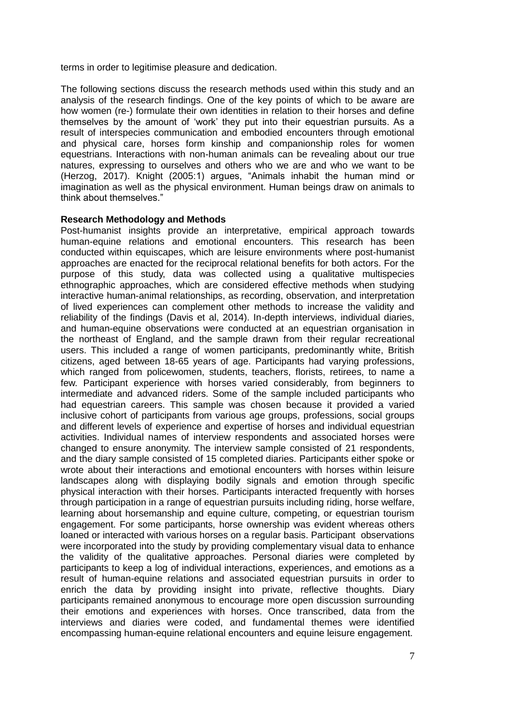terms in order to legitimise pleasure and dedication.

The following sections discuss the research methods used within this study and an analysis of the research findings. One of the key points of which to be aware are how women (re-) formulate their own identities in relation to their horses and define themselves by the amount of 'work' they put into their equestrian pursuits. As a result of interspecies communication and embodied encounters through emotional and physical care, horses form kinship and companionship roles for women equestrians. Interactions with non-human animals can be revealing about our true natures, expressing to ourselves and others who we are and who we want to be (Herzog, 2017). Knight (2005:1) argues, "Animals inhabit the human mind or imagination as well as the physical environment. Human beings draw on animals to think about themselves."

## **Research Methodology and Methods**

Post-humanist insights provide an interpretative, empirical approach towards human-equine relations and emotional encounters. This research has been conducted within equiscapes, which are leisure environments where post-humanist approaches are enacted for the reciprocal relational benefits for both actors. For the purpose of this study, data was collected using a qualitative multispecies ethnographic approaches, which are considered effective methods when studying interactive human-animal relationships, as recording, observation, and interpretation of lived experiences can complement other methods to increase the validity and reliability of the findings (Davis et al, 2014). In-depth interviews, individual diaries, and human-equine observations were conducted at an equestrian organisation in the northeast of England, and the sample drawn from their regular recreational users. This included a range of women participants, predominantly white, British citizens, aged between 18-65 years of age. Participants had varying professions, which ranged from policewomen, students, teachers, florists, retirees, to name a few. Participant experience with horses varied considerably, from beginners to intermediate and advanced riders. Some of the sample included participants who had equestrian careers. This sample was chosen because it provided a varied inclusive cohort of participants from various age groups, professions, social groups and different levels of experience and expertise of horses and individual equestrian activities. Individual names of interview respondents and associated horses were changed to ensure anonymity. The interview sample consisted of 21 respondents, and the diary sample consisted of 15 completed diaries. Participants either spoke or wrote about their interactions and emotional encounters with horses within leisure landscapes along with displaying bodily signals and emotion through specific physical interaction with their horses. Participants interacted frequently with horses through participation in a range of equestrian pursuits including riding, horse welfare, learning about horsemanship and equine culture, competing, or equestrian tourism engagement. For some participants, horse ownership was evident whereas others loaned or interacted with various horses on a regular basis. Participant observations were incorporated into the study by providing complementary visual data to enhance the validity of the qualitative approaches. Personal diaries were completed by participants to keep a log of individual interactions, experiences, and emotions as a result of human-equine relations and associated equestrian pursuits in order to enrich the data by providing insight into private, reflective thoughts. Diary participants remained anonymous to encourage more open discussion surrounding their emotions and experiences with horses. Once transcribed, data from the interviews and diaries were coded, and fundamental themes were identified encompassing human-equine relational encounters and equine leisure engagement.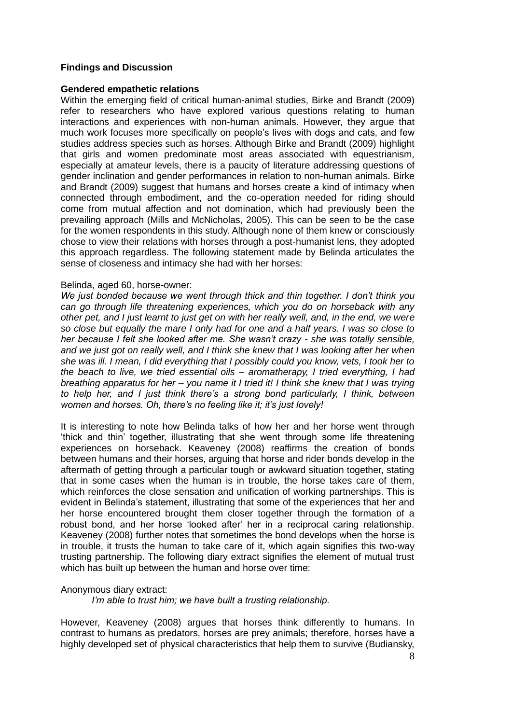# **Findings and Discussion**

### **Gendered empathetic relations**

Within the emerging field of critical human-animal studies, Birke and Brandt (2009) refer to researchers who have explored various questions relating to human interactions and experiences with non-human animals. However, they argue that much work focuses more specifically on people's lives with dogs and cats, and few studies address species such as horses. Although Birke and Brandt (2009) highlight that girls and women predominate most areas associated with equestrianism, especially at amateur levels, there is a paucity of literature addressing questions of gender inclination and gender performances in relation to non-human animals. Birke and Brandt (2009) suggest that humans and horses create a kind of intimacy when connected through embodiment, and the co-operation needed for riding should come from mutual affection and not domination, which had previously been the prevailing approach (Mills and McNicholas, 2005). This can be seen to be the case for the women respondents in this study. Although none of them knew or consciously chose to view their relations with horses through a post-humanist lens, they adopted this approach regardless. The following statement made by Belinda articulates the sense of closeness and intimacy she had with her horses:

### Belinda, aged 60, horse-owner:

*We just bonded because we went through thick and thin together. I don't think you can go through life threatening experiences, which you do on horseback with any other pet, and I just learnt to just get on with her really well, and, in the end, we were so close but equally the mare I only had for one and a half years. I was so close to her because I felt she looked after me. She wasn't crazy - she was totally sensible, and we just got on really well, and I think she knew that I was looking after her when she was ill. I mean, I did everything that I possibly could you know, vets, I took her to the beach to live, we tried essential oils – aromatherapy, I tried everything, I had breathing apparatus for her – you name it I tried it! I think she knew that I was trying to help her, and I just think there's a strong bond particularly, I think, between women and horses. Oh, there's no feeling like it; it's just lovely!*

It is interesting to note how Belinda talks of how her and her horse went through 'thick and thin' together, illustrating that she went through some life threatening experiences on horseback. Keaveney (2008) reaffirms the creation of bonds between humans and their horses, arguing that horse and rider bonds develop in the aftermath of getting through a particular tough or awkward situation together, stating that in some cases when the human is in trouble, the horse takes care of them, which reinforces the close sensation and unification of working partnerships. This is evident in Belinda's statement, illustrating that some of the experiences that her and her horse encountered brought them closer together through the formation of a robust bond, and her horse 'looked after' her in a reciprocal caring relationship. Keaveney (2008) further notes that sometimes the bond develops when the horse is in trouble, it trusts the human to take care of it, which again signifies this two-way trusting partnership. The following diary extract signifies the element of mutual trust which has built up between the human and horse over time:

## Anonymous diary extract:

*I'm able to trust him; we have built a trusting relationship.*

However, Keaveney (2008) argues that horses think differently to humans. In contrast to humans as predators, horses are prey animals; therefore, horses have a highly developed set of physical characteristics that help them to survive (Budiansky,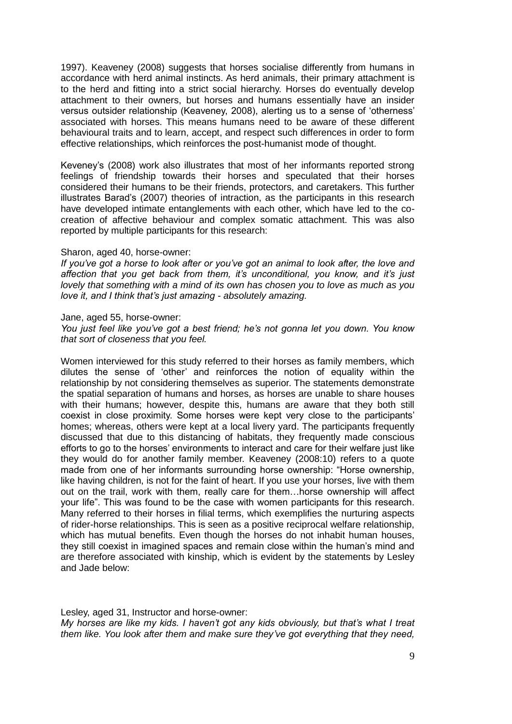1997). Keaveney (2008) suggests that horses socialise differently from humans in accordance with herd animal instincts. As herd animals, their primary attachment is to the herd and fitting into a strict social hierarchy. Horses do eventually develop attachment to their owners, but horses and humans essentially have an insider versus outsider relationship (Keaveney, 2008), alerting us to a sense of 'otherness' associated with horses. This means humans need to be aware of these different behavioural traits and to learn, accept, and respect such differences in order to form effective relationships, which reinforces the post-humanist mode of thought.

Keveney's (2008) work also illustrates that most of her informants reported strong feelings of friendship towards their horses and speculated that their horses considered their humans to be their friends, protectors, and caretakers. This further illustrates Barad's (2007) theories of intraction, as the participants in this research have developed intimate entanglements with each other, which have led to the cocreation of affective behaviour and complex somatic attachment. This was also reported by multiple participants for this research:

## Sharon, aged 40, horse-owner:

*If you've got a horse to look after or you've got an animal to look after, the love and affection that you get back from them, it's unconditional, you know, and it's just lovely that something with a mind of its own has chosen you to love as much as you love it, and I think that's just amazing - absolutely amazing.*

#### Jane, aged 55, horse-owner:

*You just feel like you've got a best friend; he's not gonna let you down. You know that sort of closeness that you feel.*

Women interviewed for this study referred to their horses as family members, which dilutes the sense of 'other' and reinforces the notion of equality within the relationship by not considering themselves as superior. The statements demonstrate the spatial separation of humans and horses, as horses are unable to share houses with their humans; however, despite this, humans are aware that they both still coexist in close proximity. Some horses were kept very close to the participants' homes; whereas, others were kept at a local livery yard. The participants frequently discussed that due to this distancing of habitats, they frequently made conscious efforts to go to the horses' environments to interact and care for their welfare just like they would do for another family member. Keaveney (2008:10) refers to a quote made from one of her informants surrounding horse ownership: "Horse ownership, like having children, is not for the faint of heart. If you use your horses, live with them out on the trail, work with them, really care for them…horse ownership will affect your life". This was found to be the case with women participants for this research. Many referred to their horses in filial terms, which exemplifies the nurturing aspects of rider-horse relationships. This is seen as a positive reciprocal welfare relationship, which has mutual benefits. Even though the horses do not inhabit human houses, they still coexist in imagined spaces and remain close within the human's mind and are therefore associated with kinship, which is evident by the statements by Lesley and Jade below:

Lesley, aged 31, Instructor and horse-owner:

*My horses are like my kids. I haven't got any kids obviously, but that's what I treat them like. You look after them and make sure they've got everything that they need,*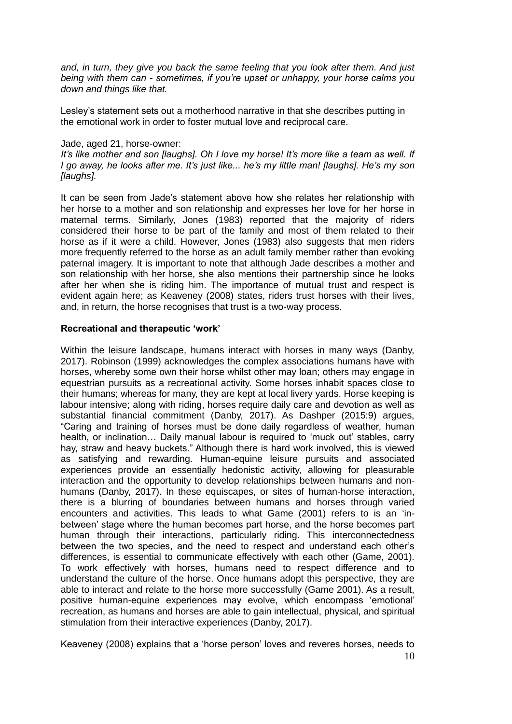*and, in turn, they give you back the same feeling that you look after them. And just being with them can - sometimes, if you're upset or unhappy, your horse calms you down and things like that.*

Lesley's statement sets out a motherhood narrative in that she describes putting in the emotional work in order to foster mutual love and reciprocal care.

## Jade, aged 21, horse-owner:

*It's like mother and son [laughs]. Oh I love my horse! It's more like a team as well. If I go away, he looks after me. It's just like... he's my little man! [laughs]. He's my son [laughs].*

It can be seen from Jade's statement above how she relates her relationship with her horse to a mother and son relationship and expresses her love for her horse in maternal terms. Similarly, Jones (1983) reported that the majority of riders considered their horse to be part of the family and most of them related to their horse as if it were a child. However, Jones (1983) also suggests that men riders more frequently referred to the horse as an adult family member rather than evoking paternal imagery. It is important to note that although Jade describes a mother and son relationship with her horse, she also mentions their partnership since he looks after her when she is riding him. The importance of mutual trust and respect is evident again here; as Keaveney (2008) states, riders trust horses with their lives, and, in return, the horse recognises that trust is a two-way process.

# **Recreational and therapeutic 'work'**

Within the leisure landscape, humans interact with horses in many ways (Danby, 2017). Robinson (1999) acknowledges the complex associations humans have with horses, whereby some own their horse whilst other may loan; others may engage in equestrian pursuits as a recreational activity. Some horses inhabit spaces close to their humans; whereas for many, they are kept at local livery yards. Horse keeping is labour intensive; along with riding, horses require daily care and devotion as well as substantial financial commitment (Danby, 2017). As Dashper (2015:9) argues, "Caring and training of horses must be done daily regardless of weather, human health, or inclination… Daily manual labour is required to 'muck out' stables, carry hay, straw and heavy buckets." Although there is hard work involved, this is viewed as satisfying and rewarding. Human-equine leisure pursuits and associated experiences provide an essentially hedonistic activity, allowing for pleasurable interaction and the opportunity to develop relationships between humans and nonhumans (Danby, 2017). In these equiscapes, or sites of human-horse interaction, there is a blurring of boundaries between humans and horses through varied encounters and activities. This leads to what Game (2001) refers to is an 'inbetween' stage where the human becomes part horse, and the horse becomes part human through their interactions, particularly riding. This interconnectedness between the two species, and the need to respect and understand each other's differences, is essential to communicate effectively with each other (Game, 2001). To work effectively with horses, humans need to respect difference and to understand the culture of the horse. Once humans adopt this perspective, they are able to interact and relate to the horse more successfully (Game 2001). As a result, positive human-equine experiences may evolve, which encompass 'emotional' recreation, as humans and horses are able to gain intellectual, physical, and spiritual stimulation from their interactive experiences (Danby, 2017).

Keaveney (2008) explains that a 'horse person' loves and reveres horses, needs to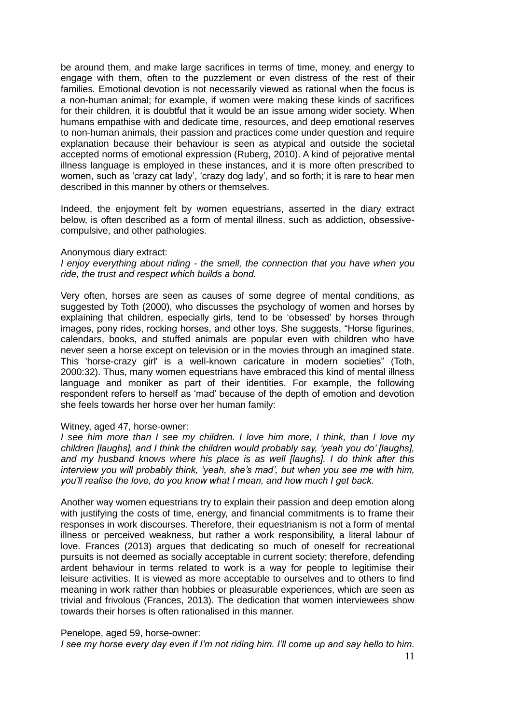be around them, and make large sacrifices in terms of time, money, and energy to engage with them, often to the puzzlement or even distress of the rest of their families*.* Emotional devotion is not necessarily viewed as rational when the focus is a non-human animal; for example, if women were making these kinds of sacrifices for their children, it is doubtful that it would be an issue among wider society. When humans empathise with and dedicate time, resources, and deep emotional reserves to non-human animals, their passion and practices come under question and require explanation because their behaviour is seen as atypical and outside the societal accepted norms of emotional expression (Ruberg, 2010). A kind of pejorative mental illness language is employed in these instances, and it is more often prescribed to women, such as 'crazy cat lady', 'crazy dog lady', and so forth; it is rare to hear men described in this manner by others or themselves.

Indeed, the enjoyment felt by women equestrians, asserted in the diary extract below, is often described as a form of mental illness, such as addiction, obsessivecompulsive, and other pathologies.

#### Anonymous diary extract:

*I enjoy everything about riding - the smell, the connection that you have when you ride, the trust and respect which builds a bond.*

Very often, horses are seen as causes of some degree of mental conditions, as suggested by Toth (2000), who discusses the psychology of women and horses by explaining that children, especially girls, tend to be 'obsessed' by horses through images, pony rides, rocking horses, and other toys. She suggests, "Horse figurines, calendars, books, and stuffed animals are popular even with children who have never seen a horse except on television or in the movies through an imagined state. This 'horse-crazy girl' is a well-known caricature in modern societies" (Toth, 2000:32). Thus, many women equestrians have embraced this kind of mental illness language and moniker as part of their identities. For example, the following respondent refers to herself as 'mad' because of the depth of emotion and devotion she feels towards her horse over her human family:

#### Witney, aged 47, horse-owner:

*I see him more than I see my children. I love him more, I think, than I love my children [laughs], and I think the children would probably say, 'yeah you do' [laughs], and my husband knows where his place is as well [laughs]. I do think after this interview you will probably think, 'yeah, she's mad', but when you see me with him, you'll realise the love, do you know what I mean, and how much I get back.*

Another way women equestrians try to explain their passion and deep emotion along with justifying the costs of time, energy, and financial commitments is to frame their responses in work discourses. Therefore, their equestrianism is not a form of mental illness or perceived weakness, but rather a work responsibility, a literal labour of love. Frances (2013) argues that dedicating so much of oneself for recreational pursuits is not deemed as socially acceptable in current society; therefore, defending ardent behaviour in terms related to work is a way for people to legitimise their leisure activities. It is viewed as more acceptable to ourselves and to others to find meaning in work rather than hobbies or pleasurable experiences, which are seen as trivial and frivolous (Frances, 2013). The dedication that women interviewees show towards their horses is often rationalised in this manner.

#### Penelope, aged 59, horse-owner:

*I see my horse every day even if I'm not riding him. I'll come up and say hello to him.*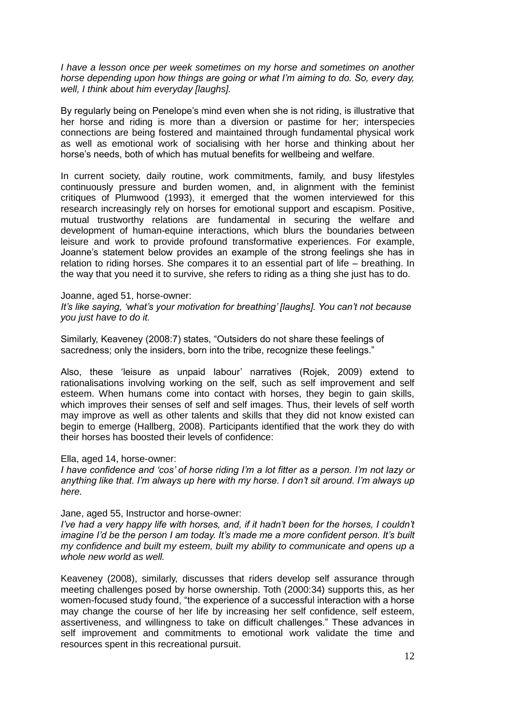*I have a lesson once per week sometimes on my horse and sometimes on another horse depending upon how things are going or what I'm aiming to do. So, every day, well, I think about him everyday [laughs].*

By regularly being on Penelope's mind even when she is not riding, is illustrative that her horse and riding is more than a diversion or pastime for her; interspecies connections are being fostered and maintained through fundamental physical work as well as emotional work of socialising with her horse and thinking about her horse's needs, both of which has mutual benefits for wellbeing and welfare.

In current society, daily routine, work commitments, family, and busy lifestyles continuously pressure and burden women, and, in alignment with the feminist critiques of Plumwood (1993), it emerged that the women interviewed for this research increasingly rely on horses for emotional support and escapism. Positive, mutual trustworthy relations are fundamental in securing the welfare and development of human-equine interactions, which blurs the boundaries between leisure and work to provide profound transformative experiences. For example, Joanne's statement below provides an example of the strong feelings she has in relation to riding horses. She compares it to an essential part of life – breathing. In the way that you need it to survive, she refers to riding as a thing she just has to do.

#### Joanne, aged 51, horse-owner:

*It's like saying, 'what's your motivation for breathing' [laughs]. You can't not because you just have to do it.*

Similarly, Keaveney (2008:7) states, "Outsiders do not share these feelings of sacredness; only the insiders, born into the tribe, recognize these feelings."

Also, these 'leisure as unpaid labour' narratives (Rojek, 2009) extend to rationalisations involving working on the self, such as self improvement and self esteem. When humans come into contact with horses, they begin to gain skills, which improves their senses of self and self images. Thus, their levels of self worth may improve as well as other talents and skills that they did not know existed can begin to emerge (Hallberg, 2008). Participants identified that the work they do with their horses has boosted their levels of confidence:

## Ella, aged 14, horse-owner:

*I have confidence and 'cos' of horse riding I'm a lot fitter as a person. I'm not lazy or anything like that. I'm always up here with my horse. I don't sit around. I'm always up here.*

### Jane, aged 55, Instructor and horse-owner:

*I've had a very happy life with horses, and, if it hadn't been for the horses, I couldn't imagine I'd be the person I am today. It's made me a more confident person. It's built my confidence and built my esteem, built my ability to communicate and opens up a whole new world as well.*

Keaveney (2008), similarly, discusses that riders develop self assurance through meeting challenges posed by horse ownership. Toth (2000:34) supports this, as her women-focused study found, "the experience of a successful interaction with a horse may change the course of her life by increasing her self confidence, self esteem, assertiveness, and willingness to take on difficult challenges." These advances in self improvement and commitments to emotional work validate the time and resources spent in this recreational pursuit.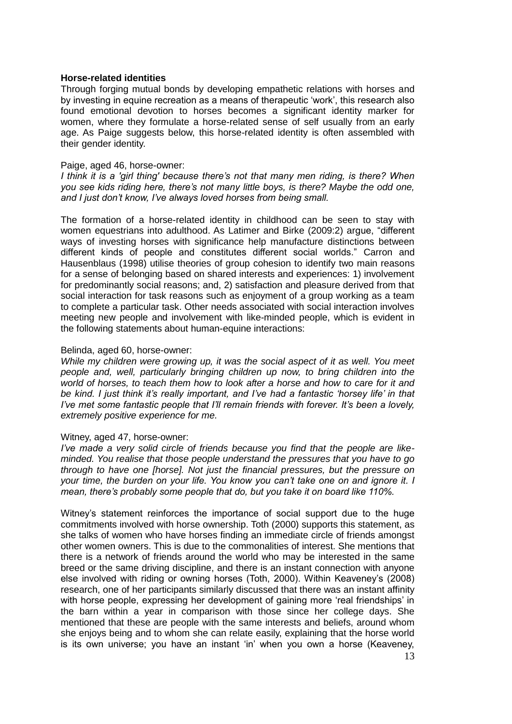## **Horse-related identities**

Through forging mutual bonds by developing empathetic relations with horses and by investing in equine recreation as a means of therapeutic 'work', this research also found emotional devotion to horses becomes a significant identity marker for women, where they formulate a horse-related sense of self usually from an early age. As Paige suggests below, this horse-related identity is often assembled with their gender identity.

## Paige, aged 46, horse-owner:

*I think it is a 'girl thing' because there's not that many men riding, is there? When you see kids riding here, there's not many little boys, is there? Maybe the odd one, and I just don't know, I've always loved horses from being small.*

The formation of a horse-related identity in childhood can be seen to stay with women equestrians into adulthood. As Latimer and Birke (2009:2) argue, "different ways of investing horses with significance help manufacture distinctions between different kinds of people and constitutes different social worlds." Carron and Hausenblaus (1998) utilise theories of group cohesion to identify two main reasons for a sense of belonging based on shared interests and experiences: 1) involvement for predominantly social reasons; and, 2) satisfaction and pleasure derived from that social interaction for task reasons such as enjoyment of a group working as a team to complete a particular task. Other needs associated with social interaction involves meeting new people and involvement with like-minded people, which is evident in the following statements about human-equine interactions:

# Belinda, aged 60, horse-owner:

*While my children were growing up, it was the social aspect of it as well. You meet people and, well, particularly bringing children up now, to bring children into the world of horses, to teach them how to look after a horse and how to care for it and be kind. I just think it's really important, and I've had a fantastic 'horsey life' in that I've met some fantastic people that I'll remain friends with forever. It's been a lovely, extremely positive experience for me.*

## Witney, aged 47, horse-owner:

*I've made a very solid circle of friends because you find that the people are likeminded. You realise that those people understand the pressures that you have to go through to have one [horse]. Not just the financial pressures, but the pressure on your time, the burden on your life. You know you can't take one on and ignore it. I mean, there's probably some people that do, but you take it on board like 110%.*

Witney's statement reinforces the importance of social support due to the huge commitments involved with horse ownership. Toth (2000) supports this statement, as she talks of women who have horses finding an immediate circle of friends amongst other women owners. This is due to the commonalities of interest. She mentions that there is a network of friends around the world who may be interested in the same breed or the same driving discipline, and there is an instant connection with anyone else involved with riding or owning horses (Toth, 2000). Within Keaveney's (2008) research, one of her participants similarly discussed that there was an instant affinity with horse people, expressing her development of gaining more 'real friendships' in the barn within a year in comparison with those since her college days. She mentioned that these are people with the same interests and beliefs, around whom she enjoys being and to whom she can relate easily, explaining that the horse world is its own universe; you have an instant 'in' when you own a horse (Keaveney,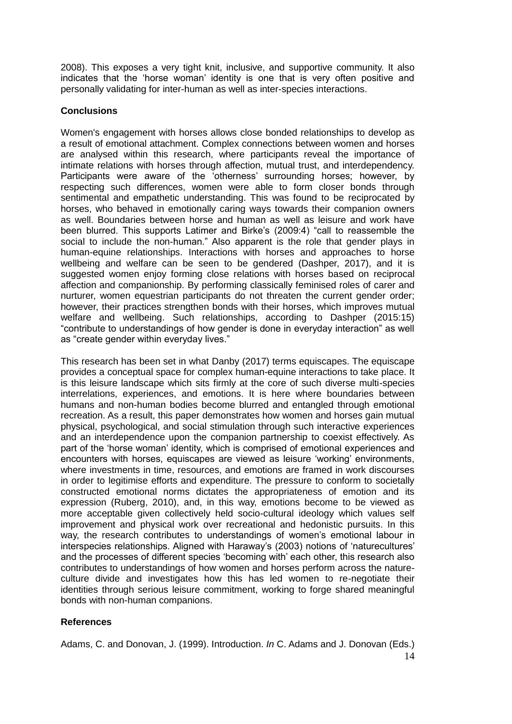2008). This exposes a very tight knit, inclusive, and supportive community. It also indicates that the 'horse woman' identity is one that is very often positive and personally validating for inter-human as well as inter-species interactions.

# **Conclusions**

Women's engagement with horses allows close bonded relationships to develop as a result of emotional attachment. Complex connections between women and horses are analysed within this research, where participants reveal the importance of intimate relations with horses through affection, mutual trust, and interdependency. Participants were aware of the 'otherness' surrounding horses; however, by respecting such differences, women were able to form closer bonds through sentimental and empathetic understanding. This was found to be reciprocated by horses, who behaved in emotionally caring ways towards their companion owners as well. Boundaries between horse and human as well as leisure and work have been blurred. This supports Latimer and Birke's (2009:4) "call to reassemble the social to include the non-human." Also apparent is the role that gender plays in human-equine relationships. Interactions with horses and approaches to horse wellbeing and welfare can be seen to be gendered (Dashper, 2017), and it is suggested women enjoy forming close relations with horses based on reciprocal affection and companionship. By performing classically feminised roles of carer and nurturer, women equestrian participants do not threaten the current gender order; however, their practices strengthen bonds with their horses, which improves mutual welfare and wellbeing. Such relationships, according to Dashper (2015:15) "contribute to understandings of how gender is done in everyday interaction" as well as "create gender within everyday lives."

This research has been set in what Danby (2017) terms equiscapes. The equiscape provides a conceptual space for complex human-equine interactions to take place. It is this leisure landscape which sits firmly at the core of such diverse multi-species interrelations, experiences, and emotions. It is here where boundaries between humans and non-human bodies become blurred and entangled through emotional recreation. As a result, this paper demonstrates how women and horses gain mutual physical, psychological, and social stimulation through such interactive experiences and an interdependence upon the companion partnership to coexist effectively. As part of the 'horse woman' identity, which is comprised of emotional experiences and encounters with horses, equiscapes are viewed as leisure 'working' environments, where investments in time, resources, and emotions are framed in work discourses in order to legitimise efforts and expenditure. The pressure to conform to societally constructed emotional norms dictates the appropriateness of emotion and its expression (Ruberg, 2010), and, in this way, emotions become to be viewed as more acceptable given collectively held socio-cultural ideology which values self improvement and physical work over recreational and hedonistic pursuits. In this way, the research contributes to understandings of women's emotional labour in interspecies relationships. Aligned with Haraway's (2003) notions of 'naturecultures' and the processes of different species 'becoming with' each other, this research also contributes to understandings of how women and horses perform across the natureculture divide and investigates how this has led women to re-negotiate their identities through serious leisure commitment, working to forge shared meaningful bonds with non-human companions.

## **References**

Adams, C. and Donovan, J. (1999). Introduction. *In* C. Adams and J. Donovan (Eds.)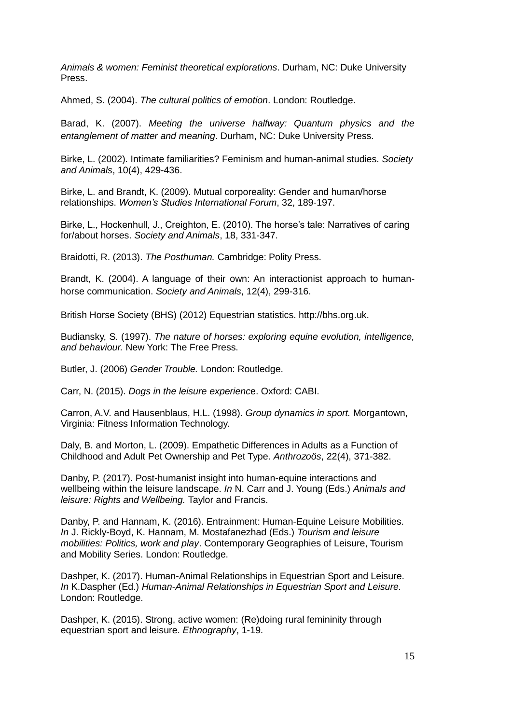*Animals & women: Feminist theoretical explorations*. Durham, NC: Duke University Press.

Ahmed, S. (2004). *The cultural politics of emotion*. London: Routledge.

Barad, K. (2007). *Meeting the universe halfway: Quantum physics and the entanglement of matter and meaning*. Durham, NC: Duke University Press.

Birke, L. (2002). Intimate familiarities? Feminism and human-animal studies. *Society and Animals*, 10(4), 429-436.

Birke, L. and Brandt, K. (2009). Mutual corporeality: Gender and human/horse relationships. *Women's Studies International Forum*, 32, 189-197.

Birke, L., Hockenhull, J., Creighton, E. (2010). The horse's tale: Narratives of caring for/about horses. *Society and Animals*, 18, 331-347.

Braidotti, R. (2013). *The Posthuman.* Cambridge: Polity Press.

Brandt, K. (2004). A language of their own: An interactionist approach to humanhorse communication. *Society and Animals*, 12(4), 299-316.

British Horse Society (BHS) (2012) Equestrian statistics. http://bhs.org.uk.

Budiansky, S. (1997). *The nature of horses: exploring equine evolution, intelligence, and behaviour.* New York: The Free Press.

Butler, J. (2006) *Gender Trouble.* London: Routledge.

Carr, N. (2015). *Dogs in the leisure experienc*e. Oxford: CABI.

Carron, A.V. and Hausenblaus, H.L. (1998). *Group dynamics in sport.* Morgantown, Virginia: Fitness Information Technology.

Daly, B. and Morton, L. (2009). Empathetic Differences in Adults as a Function of Childhood and Adult Pet Ownership and Pet Type. *Anthrozoös*, 22(4), 371-382.

Danby, P. (2017). Post-humanist insight into human-equine interactions and wellbeing within the leisure landscape. *In* N. Carr and J. Young (Eds.) *Animals and leisure: Rights and Wellbeing.* Taylor and Francis.

Danby, P. and Hannam, K. (2016). Entrainment: Human-Equine Leisure Mobilities. *In* J. Rickly-Boyd, K. Hannam, M. Mostafanezhad (Eds.) *Tourism and leisure mobilities: Politics, work and play*. Contemporary Geographies of Leisure, Tourism and Mobility Series. London: Routledge.

Dashper, K. (2017). Human-Animal Relationships in Equestrian Sport and Leisure. *In* K.Daspher (Ed.) *Human-Animal Relationships in Equestrian Sport and Leisure.*  London: Routledge.

Dashper, K. (2015). Strong, active women: (Re)doing rural femininity through equestrian sport and leisure. *Ethnography*, 1-19.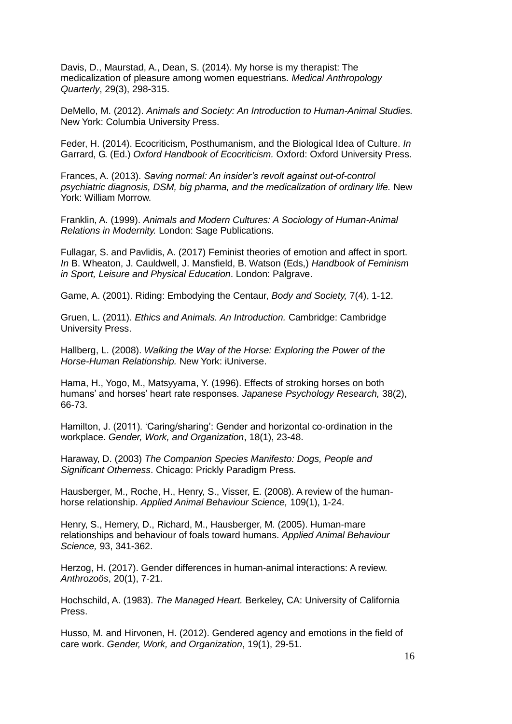Davis, D., Maurstad, A., Dean, S. (2014). My horse is my therapist: The medicalization of pleasure among women equestrians. *Medical Anthropology Quarterly*, 29(3), 298-315.

DeMello, M. (2012). *Animals and Society: An Introduction to Human-Animal Studies.*  New York: Columbia University Press.

Feder, H. (2014). Ecocriticism, Posthumanism, and the Biological Idea of Culture. *In* Garrard, G. (Ed.) *Oxford Handbook of Ecocriticism.* Oxford: Oxford University Press.

Frances, A. (2013). *Saving normal: An insider's revolt against out-of-control psychiatric diagnosis, DSM, big pharma, and the medicalization of ordinary life.* New York: William Morrow.

Franklin, A. (1999). *Animals and Modern Cultures: A Sociology of Human-Animal Relations in Modernity.* London: Sage Publications.

Fullagar, S. and Pavlidis, A. (2017) Feminist theories of emotion and affect in sport. *In* B. Wheaton, J. Cauldwell, J. Mansfield, B. Watson (Eds,) *Handbook of Feminism in Sport, Leisure and Physical Education*. London: Palgrave.

Game, A. (2001). Riding: Embodying the Centaur, *Body and Society,* 7(4), 1-12.

Gruen, L. (2011). *Ethics and Animals. An Introduction.* Cambridge: Cambridge University Press.

Hallberg, L. (2008). *Walking the Way of the Horse: Exploring the Power of the Horse-Human Relationship.* New York: iUniverse.

Hama, H., Yogo, M., Matsyyama, Y. (1996). Effects of stroking horses on both humans' and horses' heart rate responses. *Japanese Psychology Research,* 38(2), 66-73.

Hamilton, J. (2011). 'Caring/sharing': Gender and horizontal co-ordination in the workplace. *Gender, Work, and Organization*, 18(1), 23-48.

Haraway, D. (2003) *The Companion Species Manifesto: Dogs, People and Significant Otherness*. Chicago: Prickly Paradigm Press.

Hausberger, M., Roche, H., Henry, S., Visser, E. (2008). A review of the humanhorse relationship. *Applied Animal Behaviour Science,* 109(1), 1-24.

Henry, S., Hemery, D., Richard, M., Hausberger, M. (2005). Human-mare relationships and behaviour of foals toward humans. *Applied Animal Behaviour Science,* 93, 341-362.

Herzog, H. (2017). Gender differences in human-animal interactions: A review. *Anthrozoös*, 20(1), 7-21.

Hochschild, A. (1983). *The Managed Heart.* Berkeley, CA: University of California Press.

Husso, M. and Hirvonen, H. (2012). Gendered agency and emotions in the field of care work. *Gender, Work, and Organization*, 19(1), 29-51.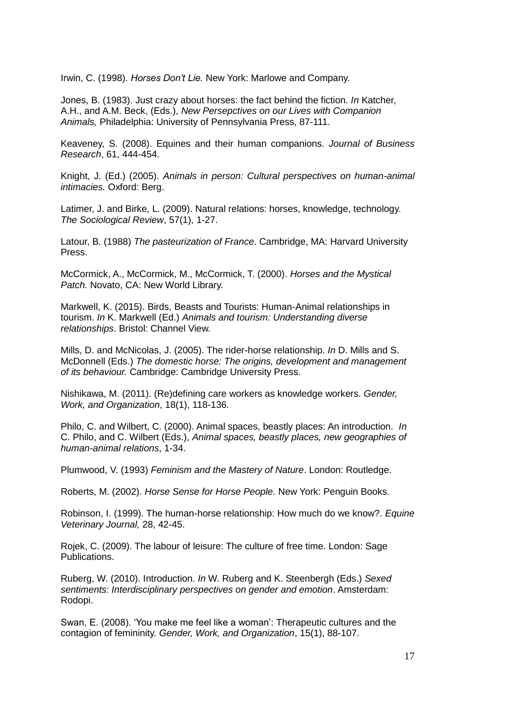Irwin, C. (1998). *Horses Don't Lie.* New York: Marlowe and Company.

Jones, B. (1983). Just crazy about horses: the fact behind the fiction. *In* Katcher, A.H., and A.M. Beck, (Eds.), *New Persepctives on our Lives with Companion Animals,* Philadelphia: University of Pennsylvania Press, 87-111.

Keaveney, S. (2008). Equines and their human companions. *Journal of Business Research*, 61, 444-454.

Knight, J. (Ed.) (2005). *Animals in person: Cultural perspectives on human-animal intimacies.* Oxford: Berg.

Latimer, J. and Birke, L. (2009). Natural relations: horses, knowledge, technology. *The Sociological Review*, 57(1), 1-27.

Latour, B. (1988) *The pasteurization of France*. Cambridge, MA: Harvard University Press.

McCormick, A., McCormick, M., McCormick, T. (2000). *Horses and the Mystical Patch.* Novato, CA: New World Library.

Markwell, K. (2015). Birds, Beasts and Tourists: Human-Animal relationships in tourism. *In* K. Markwell (Ed.) *Animals and tourism: Understanding diverse relationships*. Bristol: Channel View.

Mills, D. and McNicolas, J. (2005). The rider-horse relationship. *In* D. Mills and S. McDonnell (Eds.) *The domestic horse: The origins, development and management of its behaviour.* Cambridge: Cambridge University Press.

Nishikawa, M. (2011). (Re)defining care workers as knowledge workers. *Gender, Work, and Organization*, 18(1), 118-136.

Philo, C. and Wilbert, C. (2000). Animal spaces, beastly places: An introduction. *In* C. Philo, and C. Wilbert (Eds.), *Animal spaces, beastly places, new geographies of human-animal relations*, 1-34.

Plumwood, V. (1993) *Feminism and the Mastery of Nature*. London: Routledge.

Roberts, M. (2002). *Horse Sense for Horse People.* New York: Penguin Books.

Robinson, I. (1999). The human-horse relationship: How much do we know?. *Equine Veterinary Journal,* 28, 42-45.

Rojek, C. (2009). The labour of leisure: The culture of free time. London: Sage Publications.

Ruberg, W. (2010). Introduction. *In* W. Ruberg and K. Steenbergh (Eds.) *Sexed sentiments: Interdisciplinary perspectives on gender and emotion*. Amsterdam: Rodopi.

Swan, E. (2008). 'You make me feel like a woman': Therapeutic cultures and the contagion of femininity. *Gender, Work, and Organization*, 15(1), 88-107.